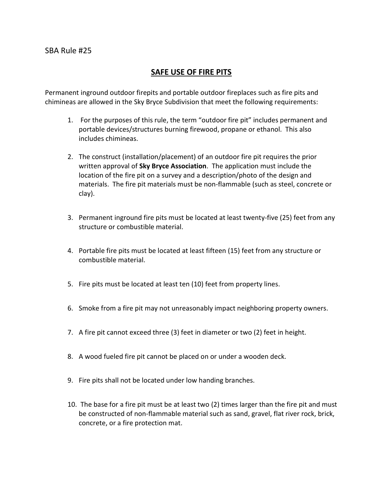## SAFE USE OF FIRE PITS

Permanent inground outdoor firepits and portable outdoor fireplaces such as fire pits and chimineas are allowed in the Sky Bryce Subdivision that meet the following requirements:

- 1. For the purposes of this rule, the term "outdoor fire pit" includes permanent and portable devices/structures burning firewood, propane or ethanol. This also includes chimineas.
- 2. The construct (installation/placement) of an outdoor fire pit requires the prior written approval of Sky Bryce Association. The application must include the location of the fire pit on a survey and a description/photo of the design and materials. The fire pit materials must be non-flammable (such as steel, concrete or clay).
- 3. Permanent inground fire pits must be located at least twenty-five (25) feet from any structure or combustible material.
- 4. Portable fire pits must be located at least fifteen (15) feet from any structure or combustible material.
- 5. Fire pits must be located at least ten (10) feet from property lines.
- 6. Smoke from a fire pit may not unreasonably impact neighboring property owners.
- 7. A fire pit cannot exceed three (3) feet in diameter or two (2) feet in height.
- 8. A wood fueled fire pit cannot be placed on or under a wooden deck.
- 9. Fire pits shall not be located under low handing branches.
- 10. The base for a fire pit must be at least two (2) times larger than the fire pit and must be constructed of non-flammable material such as sand, gravel, flat river rock, brick, concrete, or a fire protection mat.